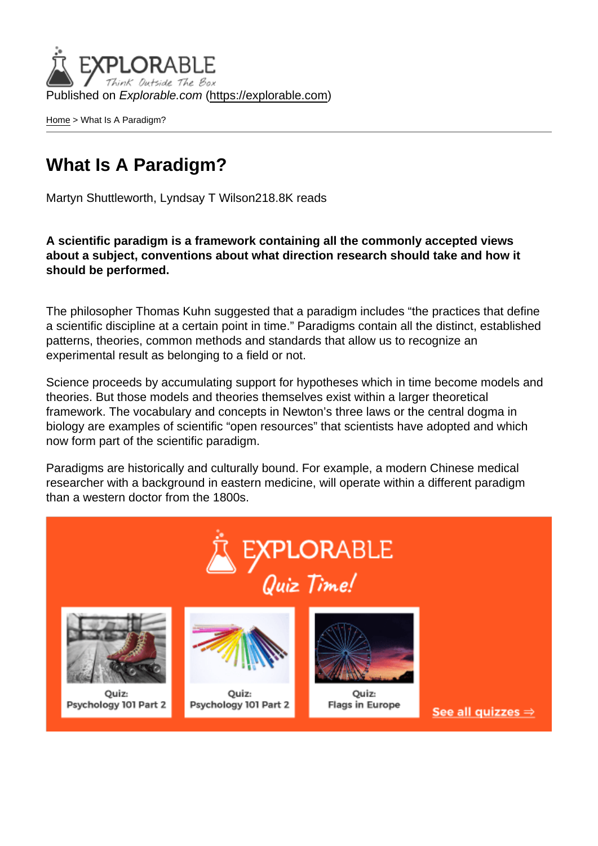Published on Explorable.com (<https://explorable.com>)

[Home](https://explorable.com/) > What Is A Paradigm?

## What Is A Paradigm?

Martyn Shuttleworth, Lyndsay T Wilson218.8K reads

A scientific paradigm is a framework containing all the commonly accepted views about a subject, conventions about what direction research should take and how it should be performed.

The philosopher Thomas Kuhn suggested that a paradigm includes "the practices that define a scientific discipline at a certain point in time." Paradigms contain all the distinct, established patterns, theories, common methods and standards that allow us to recognize an experimental result as belonging to a field or not.

Science proceeds by accumulating support for hypotheses which in time become models and theories. But those models and theories themselves exist within a larger theoretical framework. The vocabulary and concepts in Newton's three laws or the central dogma in biology are examples of scientific "open resources" that scientists have adopted and which now form part of the scientific paradigm.

Paradigms are historically and culturally bound. For example, a modern Chinese medical researcher with a background in eastern medicine, will operate within a different paradigm than a western doctor from the 1800s.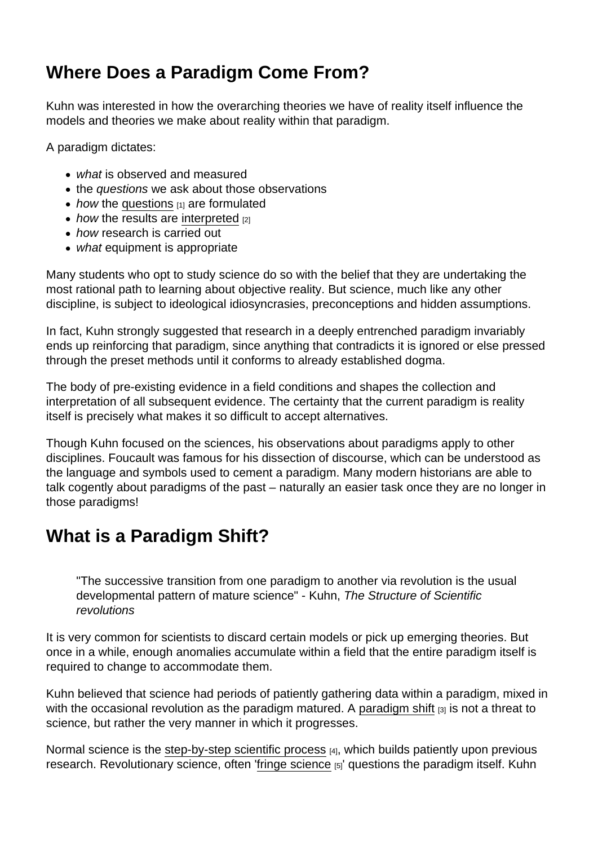## Where Does a Paradigm Come From?

Kuhn was interested in how the overarching theories we have of reality itself influence the models and theories we make about reality within that paradigm.

A paradigm dictates:

- what is observed and measured
- the questions we ask about those observations
- $\bullet$  how the [questions](https://explorable.com/defining-a-research-problem)  $[1]$  are formulated
- $\bullet$  how the results are [interpreted](https://explorable.com/drawing-conclusions)  $[2]$
- how research is carried out
- what equipment is appropriate

Many students who opt to study science do so with the belief that they are undertaking the most rational path to learning about objective reality. But science, much like any other discipline, is subject to ideological idiosyncrasies, preconceptions and hidden assumptions.

In fact, Kuhn strongly suggested that research in a deeply entrenched paradigm invariably ends up reinforcing that paradigm, since anything that contradicts it is ignored or else pressed through the preset methods until it conforms to already established dogma.

The body of pre-existing evidence in a field conditions and shapes the collection and interpretation of all subsequent evidence. The certainty that the current paradigm is reality itself is precisely what makes it so difficult to accept alternatives.

Though Kuhn focused on the sciences, his observations about paradigms apply to other disciplines. Foucault was famous for his dissection of discourse, which can be understood as the language and symbols used to cement a paradigm. Many modern historians are able to talk cogently about paradigms of the past – naturally an easier task once they are no longer in those paradigms!

## What is a Paradigm Shift?

"The successive transition from one paradigm to another via revolution is the usual developmental pattern of mature science" - Kuhn, The Structure of Scientific revolutions

It is very common for scientists to discard certain models or pick up emerging theories. But once in a while, enough anomalies accumulate within a field that the entire paradigm itself is required to change to accommodate them.

Kuhn believed that science had periods of patiently gathering data within a paradigm, mixed in with the occasional revolution as the paradigm matured. A [paradigm shift](https://explorable.com/paradigm-shift)  $[3]$  is not a threat to science, but rather the very manner in which it progresses.

Normal science is the [step-by-step scientific process](https://explorable.com/steps-of-the-scientific-method) [4], which builds patiently upon previous research. Revolutionary science, often '[fringe science](https://explorable.com/fringe-science) [5]' questions the paradigm itself. Kuhn